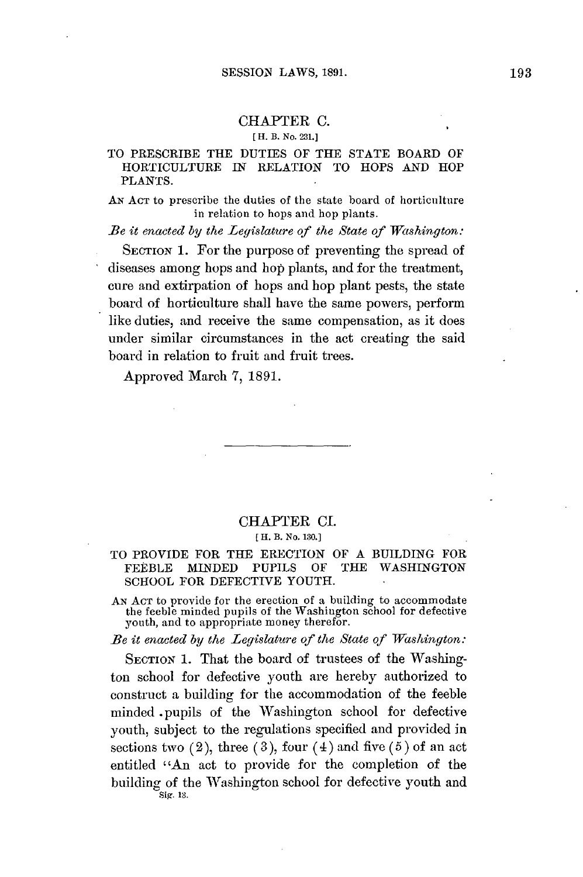## CHAPTER **C.**

## **[ H. B. No. 231.]**

## TO PRESCRIBE THE DUTIES OF THE **STATE** BOARD OF HORTICULTURE IN RELATION TO **HOPS AND** HOP **PLANTS.**

**AN ACT** to prescribe the duties of the state board of horticulture in relation to hops and hop plants.

*Be it enacted by the Legislature of the State of Washington:*

SECTION 1. For the purpose of preventing the spread of diseases among hops and hop plants, and for the treatment, cure and extirpation of hops and hop plant pests, the state board of horticulture shall have the same powers, perform like duties, and receive the same compensation, as it does under similar circumstances in the act creating the said board in relation to fruit and fruit trees.

Approved March 7, **1891.**

### CHAPTER **CI.**

#### **[** H. B. No. **130.]**

## TO PROVIDE FOR THE ERECTION OF **A BUILDING** FOR FEEBLE **MINDED PUPILS** OF THE **WASHINGTON SCHOOL** FOR **DEFECTIVE YOUTH.**

AN ACT to provide for the erection of a building to accommodate<br>the feeble minded pupils of the Washington school for defective<br>youth, and to appropriate money therefor.

*Be it enacted by the Legislature of the State of Washington:*

**SECTION 1.** That the board of trustees of the Washington school for defective youth are hereby authorized to construct a building for the accommodation of the feeble minded pupils of the Washington school for defective youth, subject to the regulations specified and provided in sections two (2), three **(3),** four (4) and five **(5)** of an act entitled "An act to provide for the completion of the building of the Washington school for defective youth and Sig. **13.**